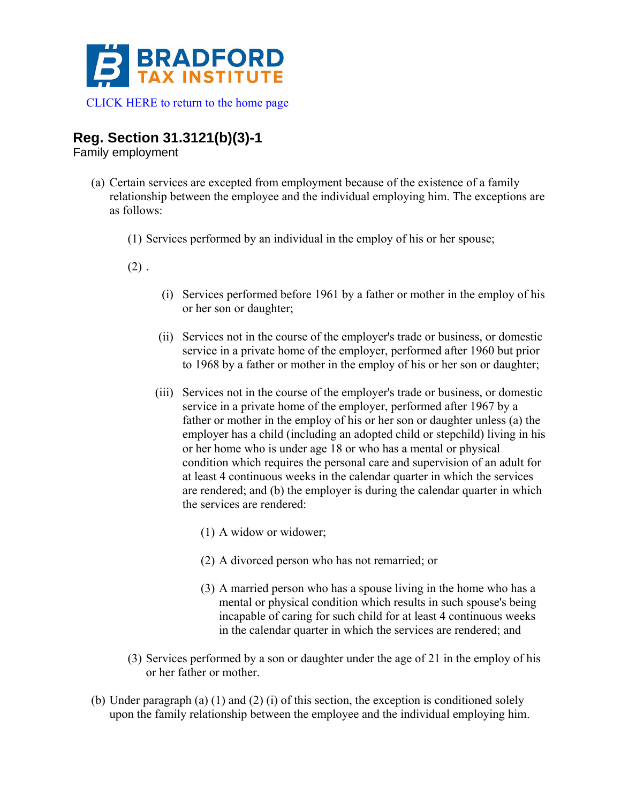

## **Reg. Section 31.3121(b)(3)-1**

Family employment

- (a) Certain services are excepted from employment because of the existence of a family relationship between the employee and the individual employing him. The exceptions are as follows:
	- (1) Services performed by an individual in the employ of his or her spouse;
	- $(2)$ .
- (i) Services performed before 1961 by a father or mother in the employ of his or her son or daughter;
- (ii) Services not in the course of the employer's trade or business, or domestic service in a private home of the employer, performed after 1960 but prior to 1968 by a father or mother in the employ of his or her son or daughter;
- (iii) Services not in the course of the employer's trade or business, or domestic service in a private home of the employer, performed after 1967 by a father or mother in the employ of his or her son or daughter unless (a) the employer has a child (including an adopted child or stepchild) living in his or her home who is under age 18 or who has a mental or physical condition which requires the personal care and supervision of an adult for at least 4 continuous weeks in the calendar quarter in which the services are rendered; and (b) the employer is during the calendar quarter in which the services are rendered:
	- (1) A widow or widower;
	- (2) A divorced person who has not remarried; or
	- (3) A married person who has a spouse living in the home who has a mental or physical condition which results in such spouse's being incapable of caring for such child for at least 4 continuous weeks in the calendar quarter in which the services are rendered; and
- (3) Services performed by a son or daughter under the age of 21 in the employ of his or her father or mother.
- (b) Under paragraph (a) (1) and (2) (i) of this section, the exception is conditioned solely upon the family relationship between the employee and the individual employing him.